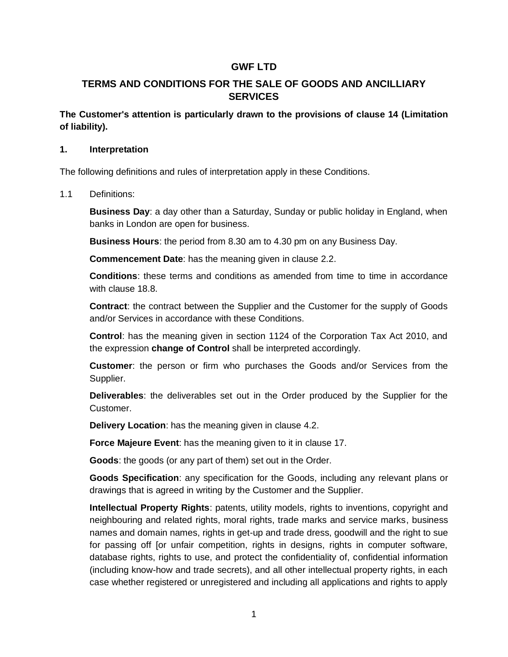# **GWF LTD**

# **TERMS AND CONDITIONS FOR THE SALE OF GOODS AND ANCILLIARY SERVICES**

**The Customer's attention is particularly drawn to the provisions of [clause 14](#page-15-0) (Limitation of liability).**

#### **1. Interpretation**

The following definitions and rules of interpretation apply in these Conditions.

1.1 Definitions:

**Business Day**: a day other than a Saturday, Sunday or public holiday in England, when banks in London are open for business.

**Business Hours**: the period from 8.30 am to 4.30 pm on any Business Day.

**Commencement Date**: has the meaning given in [clause 2.2.](#page-2-0)

**Conditions**: these terms and conditions as amended from time to time in accordance with [clause 18.8.](#page-20-0)

**Contract**: the contract between the Supplier and the Customer for the supply of Goods and/or Services in accordance with these Conditions.

**Control**: has the meaning given in section 1124 of the Corporation Tax Act 2010, and the expression **change of Control** shall be interpreted accordingly.

**Customer**: the person or firm who purchases the Goods and/or Services from the Supplier.

**Deliverables**: the deliverables set out in the Order produced by the Supplier for the Customer.

**Delivery Location**: has the meaning given in [clause 4.2.](#page-2-1)

**Force Majeure Event**: has the meaning given to it in [clause 17.](#page-18-0)

**Goods**: the goods (or any part of them) set out in the Order.

**Goods Specification**: any specification for the Goods, including any relevant plans or drawings that is agreed in writing by the Customer and the Supplier.

**Intellectual Property Rights**: patents, utility models, rights to inventions, copyright and neighbouring and related rights, moral rights, trade marks and service marks, business names and domain names, rights in get-up and trade dress, goodwill and the right to sue for passing off [or unfair competition, rights in designs, rights in computer software, database rights, rights to use, and protect the confidentiality of, confidential information (including know-how and trade secrets), and all other intellectual property rights, in each case whether registered or unregistered and including all applications and rights to apply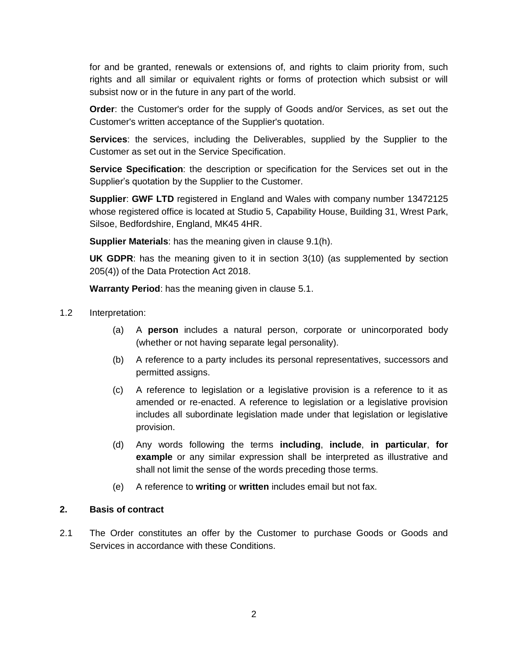for and be granted, renewals or extensions of, and rights to claim priority from, such rights and all similar or equivalent rights or forms of protection which subsist or will subsist now or in the future in any part of the world.

**Order**: the Customer's order for the supply of Goods and/or Services, as set out the Customer's written acceptance of the Supplier's quotation.

**Services**: the services, including the Deliverables, supplied by the Supplier to the Customer as set out in the Service Specification.

**Service Specification**: the description or specification for the Services set out in the Supplier's quotation by the Supplier to the Customer.

**Supplier**: **GWF LTD** registered in England and Wales with company number 13472125 whose registered office is located at Studio 5, Capability House, Building 31, Wrest Park, Silsoe, Bedfordshire, England, MK45 4HR.

**Supplier Materials**: has the meaning given in [clause 9.1\(h\).](#page-9-0)

**UK GDPR**: has the meaning given to it in section 3(10) (as supplemented by section 205(4)) of the Data Protection Act 2018.

**Warranty Period**: has the meaning given in [clause 5.1.](#page-4-0)

- 1.2 Interpretation:
	- (a) A **person** includes a natural person, corporate or unincorporated body (whether or not having separate legal personality).
	- (b) A reference to a party includes its personal representatives, successors and permitted assigns.
	- (c) A reference to legislation or a legislative provision is a reference to it as amended or re-enacted. A reference to legislation or a legislative provision includes all subordinate legislation made under that legislation or legislative provision.
	- (d) Any words following the terms **including**, **include**, **in particular**, **for example** or any similar expression shall be interpreted as illustrative and shall not limit the sense of the words preceding those terms.
	- (e) A reference to **writing** or **written** includes email but not fax.

#### **2. Basis of contract**

2.1 The Order constitutes an offer by the Customer to purchase Goods or Goods and Services in accordance with these Conditions.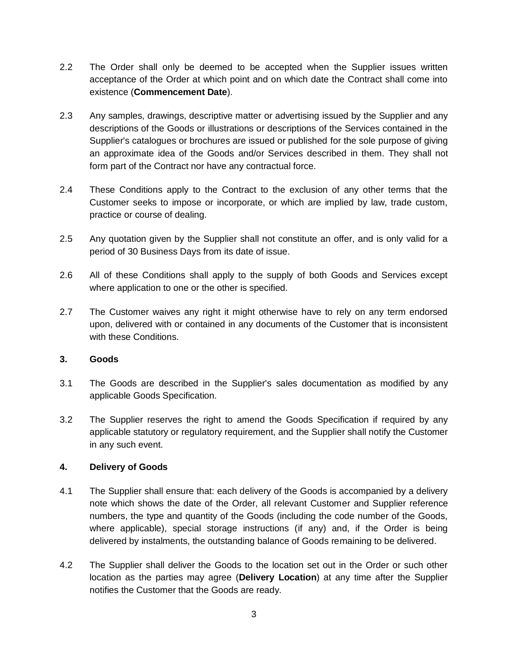- <span id="page-2-0"></span>2.2 The Order shall only be deemed to be accepted when the Supplier issues written acceptance of the Order at which point and on which date the Contract shall come into existence (**Commencement Date**).
- 2.3 Any samples, drawings, descriptive matter or advertising issued by the Supplier and any descriptions of the Goods or illustrations or descriptions of the Services contained in the Supplier's catalogues or brochures are issued or published for the sole purpose of giving an approximate idea of the Goods and/or Services described in them. They shall not form part of the Contract nor have any contractual force.
- 2.4 These Conditions apply to the Contract to the exclusion of any other terms that the Customer seeks to impose or incorporate, or which are implied by law, trade custom, practice or course of dealing.
- 2.5 Any quotation given by the Supplier shall not constitute an offer, and is only valid for a period of 30 Business Days from its date of issue.
- 2.6 All of these Conditions shall apply to the supply of both Goods and Services except where application to one or the other is specified.
- 2.7 The Customer waives any right it might otherwise have to rely on any term endorsed upon, delivered with or contained in any documents of the Customer that is inconsistent with these Conditions.

### **3. Goods**

- 3.1 The Goods are described in the Supplier's sales documentation as modified by any applicable Goods Specification.
- 3.2 The Supplier reserves the right to amend the Goods Specification if required by any applicable statutory or regulatory requirement, and the Supplier shall notify the Customer in any such event.

### **4. Delivery of Goods**

- 4.1 The Supplier shall ensure that: each delivery of the Goods is accompanied by a delivery note which shows the date of the Order, all relevant Customer and Supplier reference numbers, the type and quantity of the Goods (including the code number of the Goods, where applicable), special storage instructions (if any) and, if the Order is being delivered by instalments, the outstanding balance of Goods remaining to be delivered.
- <span id="page-2-1"></span>4.2 The Supplier shall deliver the Goods to the location set out in the Order or such other location as the parties may agree (**Delivery Location**) at any time after the Supplier notifies the Customer that the Goods are ready.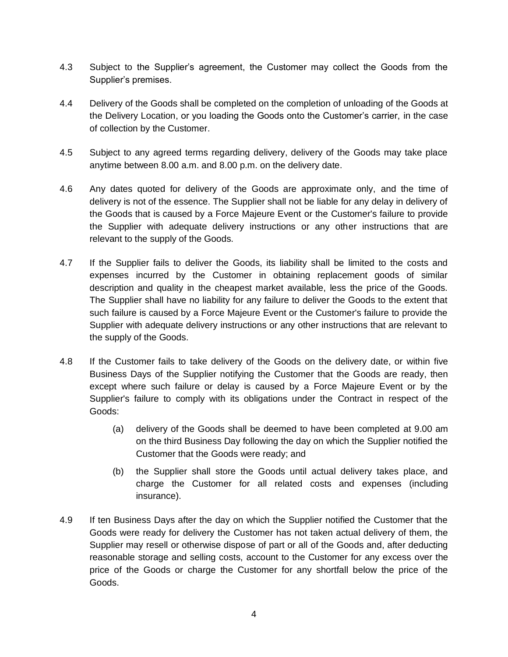- 4.3 Subject to the Supplier's agreement, the Customer may collect the Goods from the Supplier's premises.
- 4.4 Delivery of the Goods shall be completed on the completion of unloading of the Goods at the Delivery Location, or you loading the Goods onto the Customer's carrier, in the case of collection by the Customer.
- 4.5 Subject to any agreed terms regarding delivery, delivery of the Goods may take place anytime between 8.00 a.m. and 8.00 p.m. on the delivery date.
- 4.6 Any dates quoted for delivery of the Goods are approximate only, and the time of delivery is not of the essence. The Supplier shall not be liable for any delay in delivery of the Goods that is caused by a Force Majeure Event or the Customer's failure to provide the Supplier with adequate delivery instructions or any other instructions that are relevant to the supply of the Goods.
- 4.7 If the Supplier fails to deliver the Goods, its liability shall be limited to the costs and expenses incurred by the Customer in obtaining replacement goods of similar description and quality in the cheapest market available, less the price of the Goods. The Supplier shall have no liability for any failure to deliver the Goods to the extent that such failure is caused by a Force Majeure Event or the Customer's failure to provide the Supplier with adequate delivery instructions or any other instructions that are relevant to the supply of the Goods.
- 4.8 If the Customer fails to take delivery of the Goods on the delivery date, or within five Business Days of the Supplier notifying the Customer that the Goods are ready, then except where such failure or delay is caused by a Force Majeure Event or by the Supplier's failure to comply with its obligations under the Contract in respect of the Goods:
	- (a) delivery of the Goods shall be deemed to have been completed at 9.00 am on the third Business Day following the day on which the Supplier notified the Customer that the Goods were ready; and
	- (b) the Supplier shall store the Goods until actual delivery takes place, and charge the Customer for all related costs and expenses (including insurance).
- 4.9 If ten Business Days after the day on which the Supplier notified the Customer that the Goods were ready for delivery the Customer has not taken actual delivery of them, the Supplier may resell or otherwise dispose of part or all of the Goods and, after deducting reasonable storage and selling costs, account to the Customer for any excess over the price of the Goods or charge the Customer for any shortfall below the price of the Goods.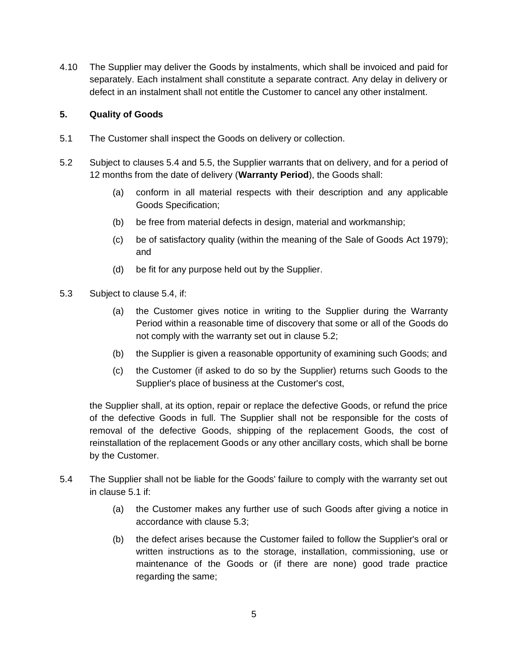4.10 The Supplier may deliver the Goods by instalments, which shall be invoiced and paid for separately. Each instalment shall constitute a separate contract. Any delay in delivery or defect in an instalment shall not entitle the Customer to cancel any other instalment.

## <span id="page-4-3"></span>**5. Quality of Goods**

- <span id="page-4-0"></span>5.1 The Customer shall inspect the Goods on delivery or collection.
- 5.2 Subject to clauses 5.4 and 5.5, the Supplier warrants that on delivery, and for a period of 12 months from the date of delivery (**Warranty Period**), the Goods shall:
	- (a) conform in all material respects with their description and any applicable Goods Specification;
	- (b) be free from material defects in design, material and workmanship;
	- (c) be of satisfactory quality (within the meaning of the Sale of Goods Act 1979); and
	- (d) be fit for any purpose held out by the Supplier.
- <span id="page-4-2"></span>5.3 Subject to [clause 5.4,](#page-4-1) if:
	- (a) the Customer gives notice in writing to the Supplier during the Warranty Period within a reasonable time of discovery that some or all of the Goods do not comply with the warranty set out in [clause 5](#page-4-0).2;
	- (b) the Supplier is given a reasonable opportunity of examining such Goods; and
	- (c) the Customer (if asked to do so by the Supplier) returns such Goods to the Supplier's place of business at the Customer's cost,

the Supplier shall, at its option, repair or replace the defective Goods, or refund the price of the defective Goods in full. The Supplier shall not be responsible for the costs of removal of the defective Goods, shipping of the replacement Goods, the cost of reinstallation of the replacement Goods or any other ancillary costs, which shall be borne by the Customer.

- <span id="page-4-1"></span>5.4 The Supplier shall not be liable for the Goods' failure to comply with the warranty set out in [clause 5.1](#page-4-0) if:
	- (a) the Customer makes any further use of such Goods after giving a notice in accordance with [clause 5.3;](#page-4-2)
	- (b) the defect arises because the Customer failed to follow the Supplier's oral or written instructions as to the storage, installation, commissioning, use or maintenance of the Goods or (if there are none) good trade practice regarding the same;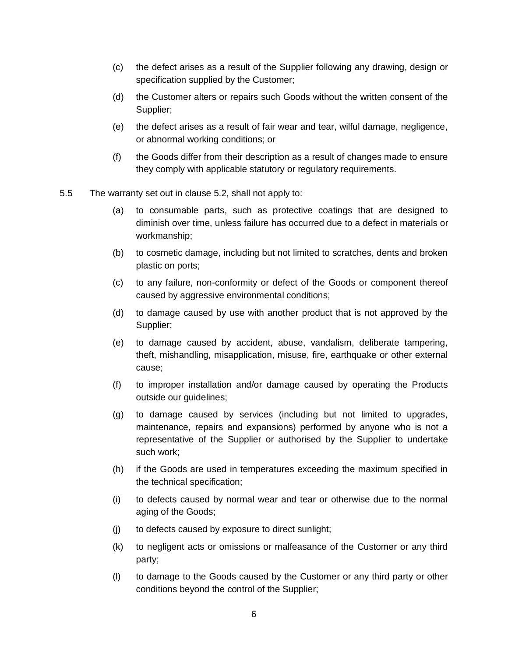- (c) the defect arises as a result of the Supplier following any drawing, design or specification supplied by the Customer;
- (d) the Customer alters or repairs such Goods without the written consent of the Supplier;
- (e) the defect arises as a result of fair wear and tear, wilful damage, negligence, or abnormal working conditions; or
- (f) the Goods differ from their description as a result of changes made to ensure they comply with applicable statutory or regulatory requirements.
- 5.5 The warranty set out in clause 5.2, shall not apply to:
	- (a) to consumable parts, such as protective coatings that are designed to diminish over time, unless failure has occurred due to a defect in materials or workmanship;
	- (b) to cosmetic damage, including but not limited to scratches, dents and broken plastic on ports;
	- (c) to any failure, non-conformity or defect of the Goods or component thereof caused by aggressive environmental conditions;
	- (d) to damage caused by use with another product that is not approved by the Supplier;
	- (e) to damage caused by accident, abuse, vandalism, deliberate tampering, theft, mishandling, misapplication, misuse, fire, earthquake or other external cause;
	- (f) to improper installation and/or damage caused by operating the Products outside our guidelines;
	- (g) to damage caused by services (including but not limited to upgrades, maintenance, repairs and expansions) performed by anyone who is not a representative of the Supplier or authorised by the Supplier to undertake such work;
	- (h) if the Goods are used in temperatures exceeding the maximum specified in the technical specification;
	- (i) to defects caused by normal wear and tear or otherwise due to the normal aging of the Goods;
	- (j) to defects caused by exposure to direct sunlight;
	- (k) to negligent acts or omissions or malfeasance of the Customer or any third party;
	- (l) to damage to the Goods caused by the Customer or any third party or other conditions beyond the control of the Supplier;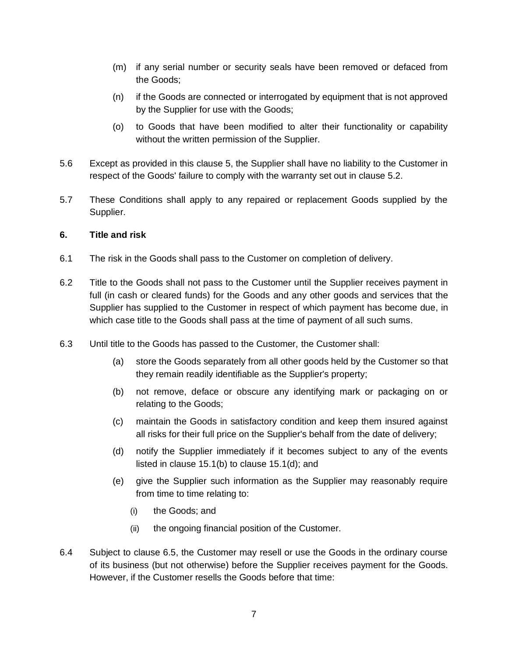- (m) if any serial number or security seals have been removed or defaced from the Goods;
- (n) if the Goods are connected or interrogated by equipment that is not approved by the Supplier for use with the Goods;
- (o) to Goods that have been modified to alter their functionality or capability without the written permission of the Supplier.
- 5.6 Except as provided in this [clause 5,](#page-4-3) the Supplier shall have no liability to the Customer in respect of the Goods' failure to comply with the warranty set out in [clause 5](#page-4-0).2.
- 5.7 These Conditions shall apply to any repaired or replacement Goods supplied by the Supplier.

### **6. Title and risk**

- 6.1 The risk in the Goods shall pass to the Customer on completion of delivery.
- 6.2 Title to the Goods shall not pass to the Customer until the Supplier receives payment in full (in cash or cleared funds) for the Goods and any other goods and services that the Supplier has supplied to the Customer in respect of which payment has become due, in which case title to the Goods shall pass at the time of payment of all such sums.
- 6.3 Until title to the Goods has passed to the Customer, the Customer shall:
	- (a) store the Goods separately from all other goods held by the Customer so that they remain readily identifiable as the Supplier's property;
	- (b) not remove, deface or obscure any identifying mark or packaging on or relating to the Goods;
	- (c) maintain the Goods in satisfactory condition and keep them insured against all risks for their full price on the Supplier's behalf from the date of delivery;
	- (d) notify the Supplier immediately if it becomes subject to any of the events listed in [clause 15.1\(b\)](#page-17-0) to [clause 15.1\(d\);](#page-17-1) and
	- (e) give the Supplier such information as the Supplier may reasonably require from time to time relating to:
		- (i) the Goods; and
		- (ii) the ongoing financial position of the Customer.
- <span id="page-6-0"></span>6.4 Subject to [clause 6.5,](#page-7-0) the Customer may resell or use the Goods in the ordinary course of its business (but not otherwise) before the Supplier receives payment for the Goods. However, if the Customer resells the Goods before that time: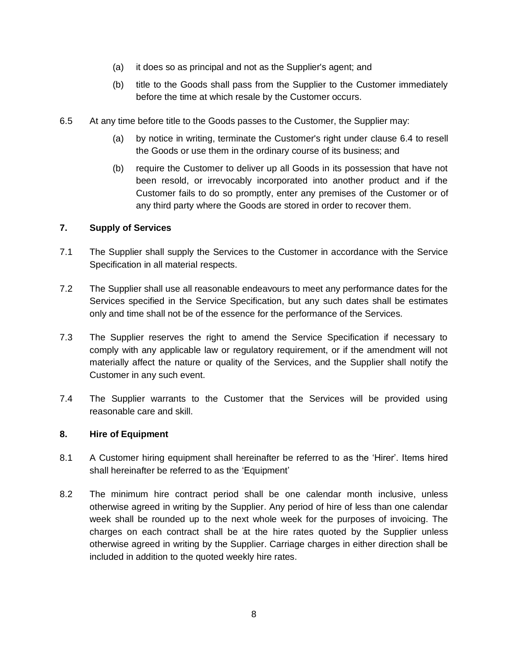- (a) it does so as principal and not as the Supplier's agent; and
- (b) title to the Goods shall pass from the Supplier to the Customer immediately before the time at which resale by the Customer occurs.
- <span id="page-7-0"></span>6.5 At any time before title to the Goods passes to the Customer, the Supplier may:
	- (a) by notice in writing, terminate the Customer's right under [clause 6.4](#page-6-0) to resell the Goods or use them in the ordinary course of its business; and
	- (b) require the Customer to deliver up all Goods in its possession that have not been resold, or irrevocably incorporated into another product and if the Customer fails to do so promptly, enter any premises of the Customer or of any third party where the Goods are stored in order to recover them.

## <span id="page-7-1"></span>**7. Supply of Services**

- 7.1 The Supplier shall supply the Services to the Customer in accordance with the Service Specification in all material respects.
- 7.2 The Supplier shall use all reasonable endeavours to meet any performance dates for the Services specified in the Service Specification, but any such dates shall be estimates only and time shall not be of the essence for the performance of the Services.
- 7.3 The Supplier reserves the right to amend the Service Specification if necessary to comply with any applicable law or regulatory requirement, or if the amendment will not materially affect the nature or quality of the Services, and the Supplier shall notify the Customer in any such event.
- 7.4 The Supplier warrants to the Customer that the Services will be provided using reasonable care and skill.

### **8. Hire of Equipment**

- 8.1 A Customer hiring equipment shall hereinafter be referred to as the 'Hirer'. Items hired shall hereinafter be referred to as the 'Equipment'
- 8.2 The minimum hire contract period shall be one calendar month inclusive, unless otherwise agreed in writing by the Supplier. Any period of hire of less than one calendar week shall be rounded up to the next whole week for the purposes of invoicing. The charges on each contract shall be at the hire rates quoted by the Supplier unless otherwise agreed in writing by the Supplier. Carriage charges in either direction shall be included in addition to the quoted weekly hire rates.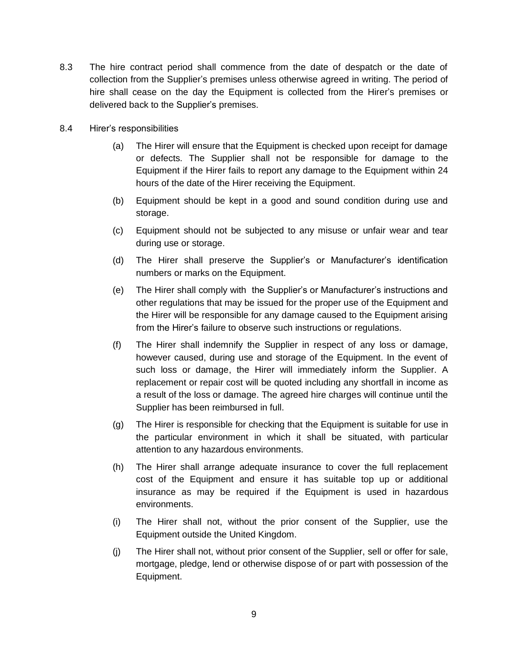- 8.3 The hire contract period shall commence from the date of despatch or the date of collection from the Supplier's premises unless otherwise agreed in writing. The period of hire shall cease on the day the Equipment is collected from the Hirer's premises or delivered back to the Supplier's premises.
- 8.4 Hirer's responsibilities
	- (a) The Hirer will ensure that the Equipment is checked upon receipt for damage or defects. The Supplier shall not be responsible for damage to the Equipment if the Hirer fails to report any damage to the Equipment within 24 hours of the date of the Hirer receiving the Equipment.
	- (b) Equipment should be kept in a good and sound condition during use and storage.
	- (c) Equipment should not be subjected to any misuse or unfair wear and tear during use or storage.
	- (d) The Hirer shall preserve the Supplier's or Manufacturer's identification numbers or marks on the Equipment.
	- (e) The Hirer shall comply with the Supplier's or Manufacturer's instructions and other regulations that may be issued for the proper use of the Equipment and the Hirer will be responsible for any damage caused to the Equipment arising from the Hirer's failure to observe such instructions or regulations.
	- (f) The Hirer shall indemnify the Supplier in respect of any loss or damage, however caused, during use and storage of the Equipment. In the event of such loss or damage, the Hirer will immediately inform the Supplier. A replacement or repair cost will be quoted including any shortfall in income as a result of the loss or damage. The agreed hire charges will continue until the Supplier has been reimbursed in full.
	- (g) The Hirer is responsible for checking that the Equipment is suitable for use in the particular environment in which it shall be situated, with particular attention to any hazardous environments.
	- (h) The Hirer shall arrange adequate insurance to cover the full replacement cost of the Equipment and ensure it has suitable top up or additional insurance as may be required if the Equipment is used in hazardous environments.
	- (i) The Hirer shall not, without the prior consent of the Supplier, use the Equipment outside the United Kingdom.
	- (j) The Hirer shall not, without prior consent of the Supplier, sell or offer for sale, mortgage, pledge, lend or otherwise dispose of or part with possession of the Equipment.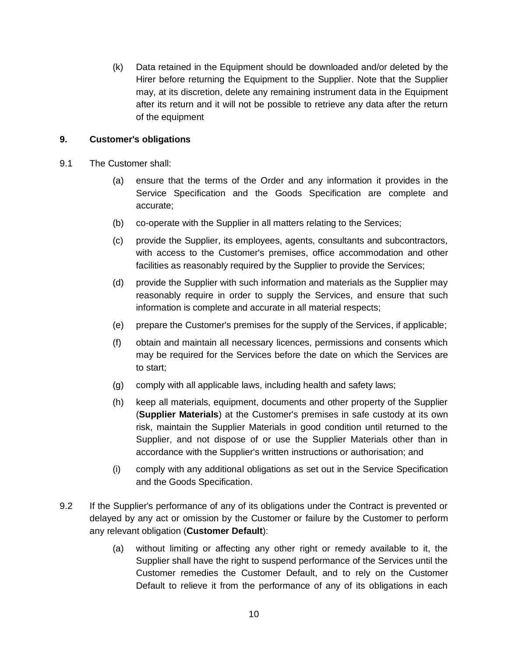(k) Data retained in the Equipment should be downloaded and/or deleted by the Hirer before returning the Equipment to the Supplier. Note that the Supplier may, at its discretion, delete any remaining instrument data in the Equipment after its return and it will not be possible to retrieve any data after the return of the equipment

### **9. Customer's obligations**

- 9.1 The Customer shall:
	- (a) ensure that the terms of the Order and any information it provides in the Service Specification and the Goods Specification are complete and accurate;
	- (b) co-operate with the Supplier in all matters relating to the Services;
	- (c) provide the Supplier, its employees, agents, consultants and subcontractors, with access to the Customer's premises, office accommodation and other facilities as reasonably required by the Supplier to provide the Services;
	- (d) provide the Supplier with such information and materials as the Supplier may reasonably require in order to supply the Services, and ensure that such information is complete and accurate in all material respects;
	- (e) prepare the Customer's premises for the supply of the Services, if applicable;
	- (f) obtain and maintain all necessary licences, permissions and consents which may be required for the Services before the date on which the Services are to start;
	- (g) comply with all applicable laws, including health and safety laws;
	- (h) keep all materials, equipment, documents and other property of the Supplier (**Supplier Materials**) at the Customer's premises in safe custody at its own risk, maintain the Supplier Materials in good condition until returned to the Supplier, and not dispose of or use the Supplier Materials other than in accordance with the Supplier's written instructions or authorisation; and
	- (i) comply with any additional obligations as set out in the Service Specification and the Goods Specification.
- <span id="page-9-1"></span><span id="page-9-0"></span>9.2 If the Supplier's performance of any of its obligations under the Contract is prevented or delayed by any act or omission by the Customer or failure by the Customer to perform any relevant obligation (**Customer Default**):
	- (a) without limiting or affecting any other right or remedy available to it, the Supplier shall have the right to suspend performance of the Services until the Customer remedies the Customer Default, and to rely on the Customer Default to relieve it from the performance of any of its obligations in each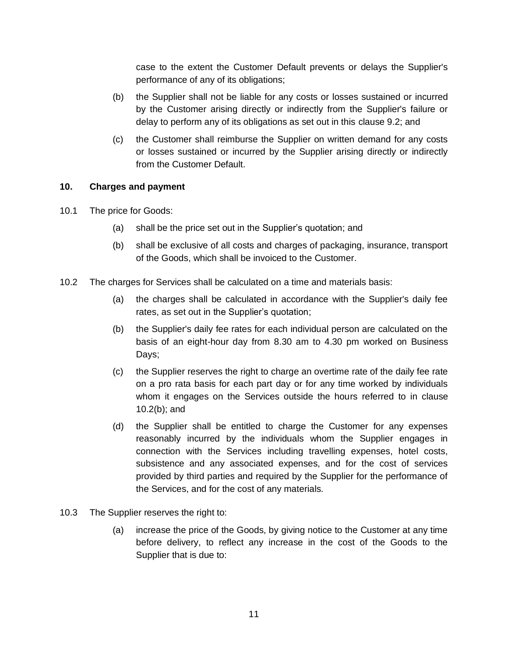case to the extent the Customer Default prevents or delays the Supplier's performance of any of its obligations;

- (b) the Supplier shall not be liable for any costs or losses sustained or incurred by the Customer arising directly or indirectly from the Supplier's failure or delay to perform any of its obligations as set out in this [clause 9.2;](#page-9-1) and
- (c) the Customer shall reimburse the Supplier on written demand for any costs or losses sustained or incurred by the Supplier arising directly or indirectly from the Customer Default.

### **10. Charges and payment**

- 10.1 The price for Goods:
	- (a) shall be the price set out in the Supplier's quotation; and
	- (b) shall be exclusive of all costs and charges of packaging, insurance, transport of the Goods, which shall be invoiced to the Customer.
- <span id="page-10-0"></span>10.2 The charges for Services shall be calculated on a time and materials basis:
	- (a) the charges shall be calculated in accordance with the Supplier's daily fee rates, as set out in the Supplier's quotation;
	- (b) the Supplier's daily fee rates for each individual person are calculated on the basis of an eight-hour day from 8.30 am to 4.30 pm worked on Business Days;
	- (c) the Supplier reserves the right to charge an overtime rate of the daily fee rate on a pro rata basis for each part day or for any time worked by individuals whom it engages on the Services outside the hours referred to in [clause](#page-10-0)  [10.2\(b\);](#page-10-0) and
	- (d) the Supplier shall be entitled to charge the Customer for any expenses reasonably incurred by the individuals whom the Supplier engages in connection with the Services including travelling expenses, hotel costs, subsistence and any associated expenses, and for the cost of services provided by third parties and required by the Supplier for the performance of the Services, and for the cost of any materials.
- 10.3 The Supplier reserves the right to:
	- (a) increase the price of the Goods, by giving notice to the Customer at any time before delivery, to reflect any increase in the cost of the Goods to the Supplier that is due to: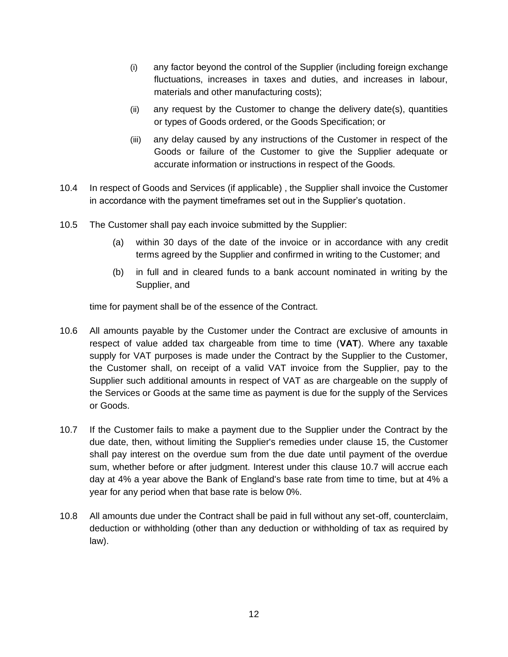- (i) any factor beyond the control of the Supplier (including foreign exchange fluctuations, increases in taxes and duties, and increases in labour, materials and other manufacturing costs);
- (ii) any request by the Customer to change the delivery date(s), quantities or types of Goods ordered, or the Goods Specification; or
- (iii) any delay caused by any instructions of the Customer in respect of the Goods or failure of the Customer to give the Supplier adequate or accurate information or instructions in respect of the Goods.
- 10.4 In respect of Goods and Services (if applicable) , the Supplier shall invoice the Customer in accordance with the payment timeframes set out in the Supplier's quotation.
- 10.5 The Customer shall pay each invoice submitted by the Supplier:
	- (a) within 30 days of the date of the invoice or in accordance with any credit terms agreed by the Supplier and confirmed in writing to the Customer; and
	- (b) in full and in cleared funds to a bank account nominated in writing by the Supplier, and

time for payment shall be of the essence of the Contract.

- 10.6 All amounts payable by the Customer under the Contract are exclusive of amounts in respect of value added tax chargeable from time to time (**VAT**). Where any taxable supply for VAT purposes is made under the Contract by the Supplier to the Customer, the Customer shall, on receipt of a valid VAT invoice from the Supplier, pay to the Supplier such additional amounts in respect of VAT as are chargeable on the supply of the Services or Goods at the same time as payment is due for the supply of the Services or Goods.
- <span id="page-11-0"></span>10.7 If the Customer fails to make a payment due to the Supplier under the Contract by the due date, then, without limiting the Supplier's remedies under [clause 15,](#page-17-2) the Customer shall pay interest on the overdue sum from the due date until payment of the overdue sum, whether before or after judgment. Interest under this [clause 10.7](#page-11-0) will accrue each day at 4% a year above the Bank of England's base rate from time to time, but at 4% a year for any period when that base rate is below 0%.
- 10.8 All amounts due under the Contract shall be paid in full without any set-off, counterclaim, deduction or withholding (other than any deduction or withholding of tax as required by law).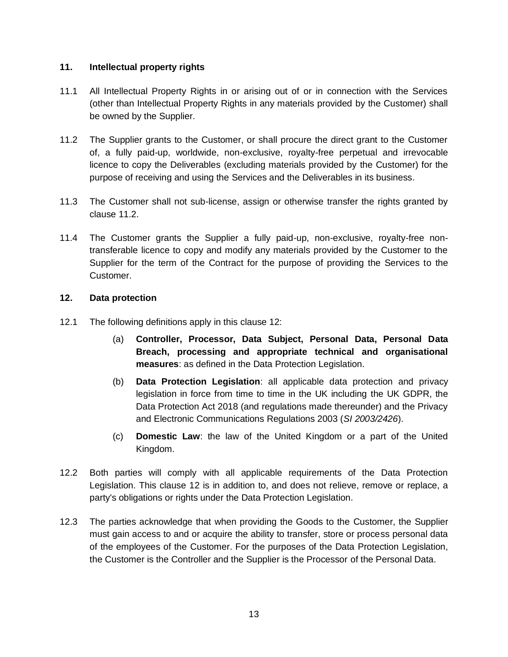### **11. Intellectual property rights**

- 11.1 All Intellectual Property Rights in or arising out of or in connection with the Services (other than Intellectual Property Rights in any materials provided by the Customer) shall be owned by the Supplier.
- <span id="page-12-0"></span>11.2 The Supplier grants to the Customer, or shall procure the direct grant to the Customer of, a fully paid-up, worldwide, non-exclusive, royalty-free perpetual and irrevocable licence to copy the Deliverables (excluding materials provided by the Customer) for the purpose of receiving and using the Services and the Deliverables in its business.
- 11.3 The Customer shall not sub-license, assign or otherwise transfer the rights granted by [clause 11.2.](#page-12-0)
- 11.4 The Customer grants the Supplier a fully paid-up, non-exclusive, royalty-free nontransferable licence to copy and modify any materials provided by the Customer to the Supplier for the term of the Contract for the purpose of providing the Services to the Customer.

## <span id="page-12-1"></span>**12. Data protection**

- 12.1 The following definitions apply in this [clause 12:](#page-12-1)
	- (a) **Controller, Processor, Data Subject, Personal Data, Personal Data Breach, processing and appropriate technical and organisational measures**: as defined in the Data Protection Legislation.
	- (b) **Data Protection Legislation**: all applicable data protection and privacy legislation in force from time to time in the UK including the UK GDPR, the Data Protection Act 2018 (and regulations made thereunder) and the Privacy and Electronic Communications Regulations 2003 (*SI 2003/2426*).
	- (c) **Domestic Law**: the law of the United Kingdom or a part of the United Kingdom.
- <span id="page-12-2"></span>12.2 Both parties will comply with all applicable requirements of the Data Protection Legislation. This [clause 12](#page-12-1) is in addition to, and does not relieve, remove or replace, a party's obligations or rights under the Data Protection Legislation.
- 12.3 The parties acknowledge that when providing the Goods to the Customer, the Supplier must gain access to and or acquire the ability to transfer, store or process personal data of the employees of the Customer. For the purposes of the Data Protection Legislation, the Customer is the Controller and the Supplier is the Processor of the Personal Data.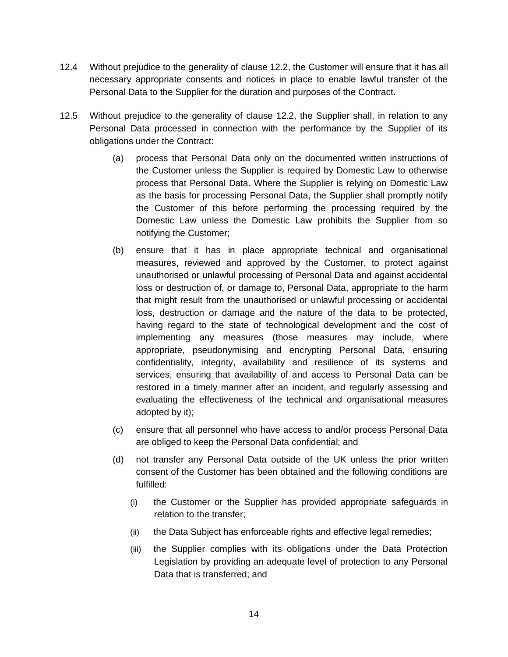- 12.4 Without prejudice to the generality of [clause 12.2,](#page-12-2) the Customer will ensure that it has all necessary appropriate consents and notices in place to enable lawful transfer of the Personal Data to the Supplier for the duration and purposes of the Contract.
- 12.5 Without prejudice to the generality of [clause 12.2,](#page-12-2) the Supplier shall, in relation to any Personal Data processed in connection with the performance by the Supplier of its obligations under the Contract:
	- (a) process that Personal Data only on the documented written instructions of the Customer unless the Supplier is required by Domestic Law to otherwise process that Personal Data. Where the Supplier is relying on Domestic Law as the basis for processing Personal Data, the Supplier shall promptly notify the Customer of this before performing the processing required by the Domestic Law unless the Domestic Law prohibits the Supplier from so notifying the Customer;
	- (b) ensure that it has in place appropriate technical and organisational measures, reviewed and approved by the Customer, to protect against unauthorised or unlawful processing of Personal Data and against accidental loss or destruction of, or damage to, Personal Data, appropriate to the harm that might result from the unauthorised or unlawful processing or accidental loss, destruction or damage and the nature of the data to be protected, having regard to the state of technological development and the cost of implementing any measures (those measures may include, where appropriate, pseudonymising and encrypting Personal Data, ensuring confidentiality, integrity, availability and resilience of its systems and services, ensuring that availability of and access to Personal Data can be restored in a timely manner after an incident, and regularly assessing and evaluating the effectiveness of the technical and organisational measures adopted by it);
	- (c) ensure that all personnel who have access to and/or process Personal Data are obliged to keep the Personal Data confidential; and
	- (d) not transfer any Personal Data outside of the UK unless the prior written consent of the Customer has been obtained and the following conditions are fulfilled:
		- (i) the Customer or the Supplier has provided appropriate safeguards in relation to the transfer;
		- (ii) the Data Subject has enforceable rights and effective legal remedies;
		- (iii) the Supplier complies with its obligations under the Data Protection Legislation by providing an adequate level of protection to any Personal Data that is transferred; and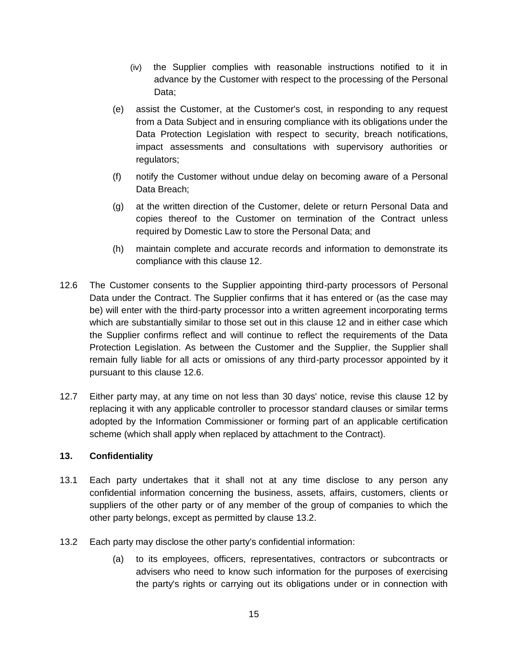- (iv) the Supplier complies with reasonable instructions notified to it in advance by the Customer with respect to the processing of the Personal Data;
- (e) assist the Customer, at the Customer's cost, in responding to any request from a Data Subject and in ensuring compliance with its obligations under the Data Protection Legislation with respect to security, breach notifications, impact assessments and consultations with supervisory authorities or regulators;
- (f) notify the Customer without undue delay on becoming aware of a Personal Data Breach;
- (g) at the written direction of the Customer, delete or return Personal Data and copies thereof to the Customer on termination of the Contract unless required by Domestic Law to store the Personal Data; and
- (h) maintain complete and accurate records and information to demonstrate its compliance with this [clause 12.](#page-12-1)
- <span id="page-14-0"></span>12.6 The Customer consents to the Supplier appointing third-party processors of Personal Data under the Contract. The Supplier confirms that it has entered or (as the case may be) will enter with the third-party processor into a written agreement incorporating terms which are substantially similar to those set out in this [clause 12](#page-12-1) and in either case which the Supplier confirms reflect and will continue to reflect the requirements of the Data Protection Legislation. As between the Customer and the Supplier, the Supplier shall remain fully liable for all acts or omissions of any third-party processor appointed by it pursuant to this [clause 12.6.](#page-14-0)
- 12.7 Either party may, at any time on not less than 30 days' notice, revise this [clause 12](#page-12-1) by replacing it with any applicable controller to processor standard clauses or similar terms adopted by the Information Commissioner or forming part of an applicable certification scheme (which shall apply when replaced by attachment to the Contract).

### <span id="page-14-2"></span>**13. Confidentiality**

- 13.1 Each party undertakes that it shall not at any time disclose to any person any confidential information concerning the business, assets, affairs, customers, clients or suppliers of the other party or of any member of the group of companies to which the other party belongs, except as permitted by [clause 13.2.](#page-14-1)
- <span id="page-14-1"></span>13.2 Each party may disclose the other party's confidential information:
	- (a) to its employees, officers, representatives, contractors or subcontracts or advisers who need to know such information for the purposes of exercising the party's rights or carrying out its obligations under or in connection with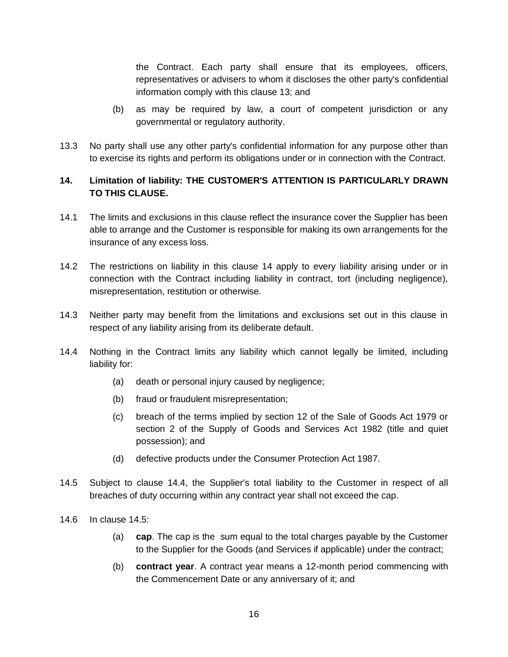the Contract. Each party shall ensure that its employees, officers, representatives or advisers to whom it discloses the other party's confidential information comply with this [clause 13;](#page-14-2) and

- (b) as may be required by law, a court of competent jurisdiction or any governmental or regulatory authority.
- 13.3 No party shall use any other party's confidential information for any purpose other than to exercise its rights and perform its obligations under or in connection with the Contract.

# <span id="page-15-0"></span>**14. Limitation of liability: THE CUSTOMER'S ATTENTION IS PARTICULARLY DRAWN TO THIS CLAUSE.**

- 14.1 The limits and exclusions in this clause reflect the insurance cover the Supplier has been able to arrange and the Customer is responsible for making its own arrangements for the insurance of any excess loss.
- 14.2 The restrictions on liability in this [clause 14](#page-15-0) apply to every liability arising under or in connection with the Contract including liability in contract, tort (including negligence), misrepresentation, restitution or otherwise.
- <span id="page-15-3"></span>14.3 Neither party may benefit from the limitations and exclusions set out in this clause in respect of any liability arising from its deliberate default.
- <span id="page-15-1"></span>14.4 Nothing in the Contract limits any liability which cannot legally be limited, including liability for:
	- (a) death or personal injury caused by negligence;
	- (b) fraud or fraudulent misrepresentation;
	- (c) breach of the terms implied by section 12 of the Sale of Goods Act 1979 or section 2 of the Supply of Goods and Services Act 1982 (title and quiet possession); and
	- (d) defective products under the Consumer Protection Act 1987.
- <span id="page-15-2"></span>14.5 Subject to [clause 14.4,](#page-15-1) the Supplier's total liability to the Customer in respect of all breaches of duty occurring within any contract year shall not exceed the cap.
- 14.6 In [clause 14.5:](#page-15-2)
	- (a) **cap**. The cap is the sum equal to the total charges payable by the Customer to the Supplier for the Goods (and Services if applicable) under the contract;
	- (b) **contract year**. A contract year means a 12-month period commencing with the Commencement Date or any anniversary of it; and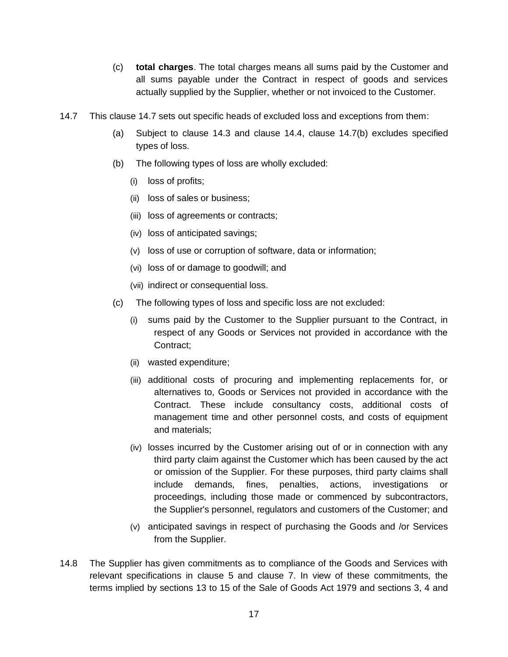- (c) **total charges**. The total charges means all sums paid by the Customer and all sums payable under the Contract in respect of goods and services actually supplied by the Supplier, whether or not invoiced to the Customer.
- <span id="page-16-1"></span><span id="page-16-0"></span>14.7 This [clause 14.7](#page-16-0) sets out specific heads of excluded loss and exceptions from them:
	- (a) Subject to [clause 14.3](#page-15-3) and [clause 14.4,](#page-15-1) [clause 14.7\(b\)](#page-16-1) excludes specified types of loss.
	- (b) The following types of loss are wholly excluded:
		- (i) loss of profits;
		- (ii) loss of sales or business;
		- (iii) loss of agreements or contracts;
		- (iv) loss of anticipated savings;
		- (v) loss of use or corruption of software, data or information;
		- (vi) loss of or damage to goodwill; and
		- (vii) indirect or consequential loss.
	- (c) The following types of loss and specific loss are not excluded:
		- (i) sums paid by the Customer to the Supplier pursuant to the Contract, in respect of any Goods or Services not provided in accordance with the Contract;
		- (ii) wasted expenditure;
		- (iii) additional costs of procuring and implementing replacements for, or alternatives to, Goods or Services not provided in accordance with the Contract. These include consultancy costs, additional costs of management time and other personnel costs, and costs of equipment and materials;
		- (iv) losses incurred by the Customer arising out of or in connection with any third party claim against the Customer which has been caused by the act or omission of the Supplier. For these purposes, third party claims shall include demands, fines, penalties, actions, investigations or proceedings, including those made or commenced by subcontractors, the Supplier's personnel, regulators and customers of the Customer; and
		- (v) anticipated savings in respect of purchasing the Goods and /or Services from the Supplier.
- 14.8 The Supplier has given commitments as to compliance of the Goods and Services with relevant specifications in [clause 5](#page-4-3) and [clause 7.](#page-7-1) In view of these commitments, the terms implied by sections 13 to 15 of the Sale of Goods Act 1979 and sections 3, 4 and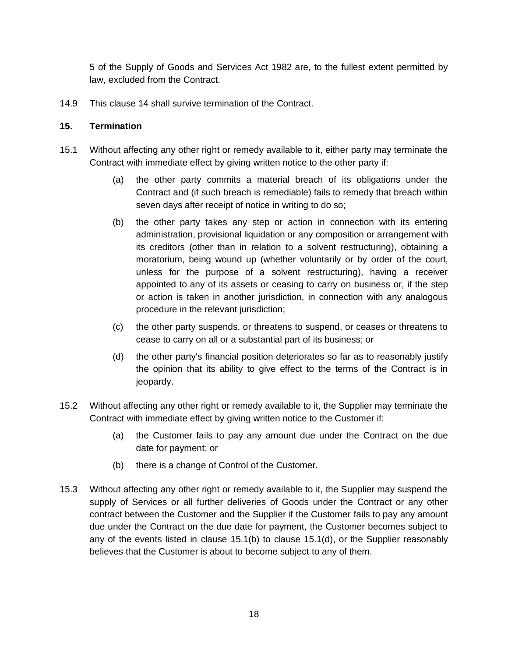5 of the Supply of Goods and Services Act 1982 are, to the fullest extent permitted by law, excluded from the Contract.

14.9 This [clause 14](#page-15-0) shall survive termination of the Contract.

#### <span id="page-17-2"></span>**15. Termination**

- <span id="page-17-0"></span>15.1 Without affecting any other right or remedy available to it, either party may terminate the Contract with immediate effect by giving written notice to the other party if:
	- (a) the other party commits a material breach of its obligations under the Contract and (if such breach is remediable) fails to remedy that breach within seven days after receipt of notice in writing to do so;
	- (b) the other party takes any step or action in connection with its entering administration, provisional liquidation or any composition or arrangement with its creditors (other than in relation to a solvent restructuring), obtaining a moratorium, being wound up (whether voluntarily or by order of the court, unless for the purpose of a solvent restructuring), having a receiver appointed to any of its assets or ceasing to carry on business or, if the step or action is taken in another jurisdiction, in connection with any analogous procedure in the relevant jurisdiction;
	- (c) the other party suspends, or threatens to suspend, or ceases or threatens to cease to carry on all or a substantial part of its business; or
	- (d) the other party's financial position deteriorates so far as to reasonably justify the opinion that its ability to give effect to the terms of the Contract is in jeopardy.
- <span id="page-17-1"></span>15.2 Without affecting any other right or remedy available to it, the Supplier may terminate the Contract with immediate effect by giving written notice to the Customer if:
	- (a) the Customer fails to pay any amount due under the Contract on the due date for payment; or
	- (b) there is a change of Control of the Customer.
- 15.3 Without affecting any other right or remedy available to it, the Supplier may suspend the supply of Services or all further deliveries of Goods under the Contract or any other contract between the Customer and the Supplier if the Customer fails to pay any amount due under the Contract on the due date for payment, the Customer becomes subject to any of the events listed in [clause 15.1\(b\)](#page-17-0) to [clause 15.1\(d\),](#page-17-1) or the Supplier reasonably believes that the Customer is about to become subject to any of them.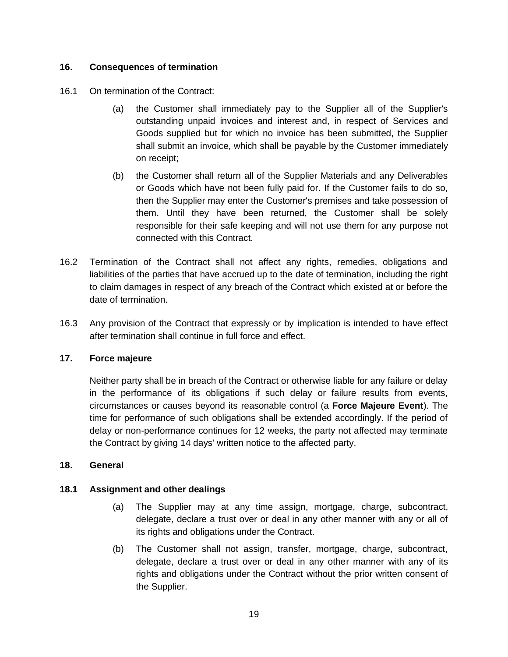## **16. Consequences of termination**

- 16.1 On termination of the Contract:
	- (a) the Customer shall immediately pay to the Supplier all of the Supplier's outstanding unpaid invoices and interest and, in respect of Services and Goods supplied but for which no invoice has been submitted, the Supplier shall submit an invoice, which shall be payable by the Customer immediately on receipt;
	- (b) the Customer shall return all of the Supplier Materials and any Deliverables or Goods which have not been fully paid for. If the Customer fails to do so, then the Supplier may enter the Customer's premises and take possession of them. Until they have been returned, the Customer shall be solely responsible for their safe keeping and will not use them for any purpose not connected with this Contract.
- 16.2 Termination of the Contract shall not affect any rights, remedies, obligations and liabilities of the parties that have accrued up to the date of termination, including the right to claim damages in respect of any breach of the Contract which existed at or before the date of termination.
- 16.3 Any provision of the Contract that expressly or by implication is intended to have effect after termination shall continue in full force and effect.

### <span id="page-18-0"></span>**17. Force majeure**

Neither party shall be in breach of the Contract or otherwise liable for any failure or delay in the performance of its obligations if such delay or failure results from events, circumstances or causes beyond its reasonable control (a **Force Majeure Event**). The time for performance of such obligations shall be extended accordingly. If the period of delay or non-performance continues for 12 weeks, the party not affected may terminate the Contract by giving 14 days' written notice to the affected party.

## **18. General**

### **18.1 Assignment and other dealings**

- (a) The Supplier may at any time assign, mortgage, charge, subcontract, delegate, declare a trust over or deal in any other manner with any or all of its rights and obligations under the Contract.
- (b) The Customer shall not assign, transfer, mortgage, charge, subcontract, delegate, declare a trust over or deal in any other manner with any of its rights and obligations under the Contract without the prior written consent of the Supplier.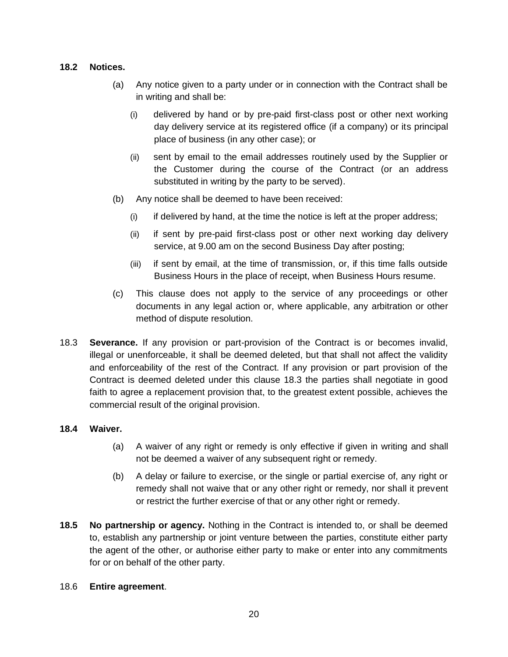### **18.2 Notices.**

- (a) Any notice given to a party under or in connection with the Contract shall be in writing and shall be:
	- (i) delivered by hand or by pre-paid first-class post or other next working day delivery service at its registered office (if a company) or its principal place of business (in any other case); or
	- (ii) sent by email to the email addresses routinely used by the Supplier or the Customer during the course of the Contract (or an address substituted in writing by the party to be served).
- (b) Any notice shall be deemed to have been received:
	- $(i)$  if delivered by hand, at the time the notice is left at the proper address;
	- (ii) if sent by pre-paid first-class post or other next working day delivery service, at 9.00 am on the second Business Day after posting;
	- (iii) if sent by email, at the time of transmission, or, if this time falls outside Business Hours in the place of receipt, when Business Hours resume.
- (c) This clause does not apply to the service of any proceedings or other documents in any legal action or, where applicable, any arbitration or other method of dispute resolution.
- <span id="page-19-0"></span>18.3 **Severance.** If any provision or part-provision of the Contract is or becomes invalid, illegal or unenforceable, it shall be deemed deleted, but that shall not affect the validity and enforceability of the rest of the Contract. If any provision or part provision of the Contract is deemed deleted under this [clause 18.3](#page-19-0) the parties shall negotiate in good faith to agree a replacement provision that, to the greatest extent possible, achieves the commercial result of the original provision.

### **18.4 Waiver.**

- (a) A waiver of any right or remedy is only effective if given in writing and shall not be deemed a waiver of any subsequent right or remedy.
- (b) A delay or failure to exercise, or the single or partial exercise of, any right or remedy shall not waive that or any other right or remedy, nor shall it prevent or restrict the further exercise of that or any other right or remedy.
- **18.5 No partnership or agency.** Nothing in the Contract is intended to, or shall be deemed to, establish any partnership or joint venture between the parties, constitute either party the agent of the other, or authorise either party to make or enter into any commitments for or on behalf of the other party.

#### 18.6 **Entire agreement**.